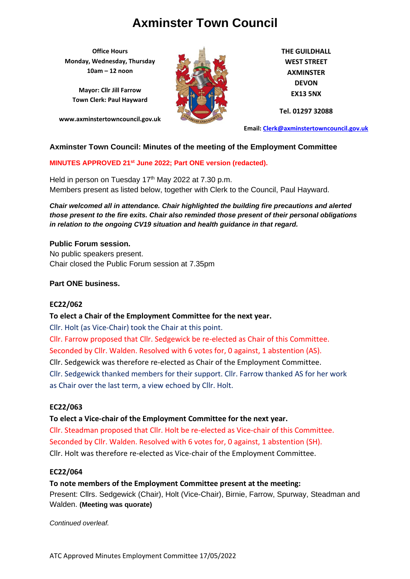**Office Hours Monday, Wednesday, Thursday 10am – 12 noon**

**Mayor: Cllr Jill Farrow Town Clerk: Paul Hayward**

**www.axminstertowncouncil.gov.uk**



**THE GUILDHALL WEST STREET AXMINSTER DEVON EX13 5NX**

**Tel. 01297 32088**

**Email: [Clerk@axminstertowncouncil.gov.uk](file://///axm-svr-1/company/Templates/Clerk@axminstertowncouncil.gov.uk)**

### **Axminster Town Council: Minutes of the meeting of the Employment Committee**

### **MINUTES APPROVED 21st June 2022; Part ONE version (redacted).**

Members present as listed below, together with Clerk to the Council, Paul Hayward. Held in person on Tuesday 17<sup>th</sup> May 2022 at 7.30 p.m.

*Chair welcomed all in attendance. Chair highlighted the building fire precautions and alerted those present to the fire exits. Chair also reminded those present of their personal obligations in relation to the ongoing CV19 situation and health guidance in that regard.*

### **Public Forum session.**

No public speakers present. Chair closed the Public Forum session at 7.35pm

### **Part ONE business.**

### **EC22/062**

### **To elect a Chair of the Employment Committee for the next year.**

Cllr. Holt (as Vice-Chair) took the Chair at this point.

Cllr. Farrow proposed that Cllr. Sedgewick be re-elected as Chair of this Committee. Seconded by Cllr. Walden. Resolved with 6 votes for, 0 against, 1 abstention (AS). Cllr. Sedgewick was therefore re-elected as Chair of the Employment Committee. Cllr. Sedgewick thanked members for their support. Cllr. Farrow thanked AS for her work as Chair over the last term, a view echoed by Cllr. Holt.

### **EC22/063**

### **To elect a Vice-chair of the Employment Committee for the next year.**

Cllr. Steadman proposed that Cllr. Holt be re-elected as Vice-chair of this Committee. Seconded by Cllr. Walden. Resolved with 6 votes for, 0 against, 1 abstention (SH). Cllr. Holt was therefore re-elected as Vice-chair of the Employment Committee.

### **EC22/064**

**To note members of the Employment Committee present at the meeting:** Present: Cllrs. Sedgewick (Chair), Holt (Vice-Chair), Birnie, Farrow, Spurway, Steadman and Walden. **(Meeting was quorate)**

*Continued overleaf.*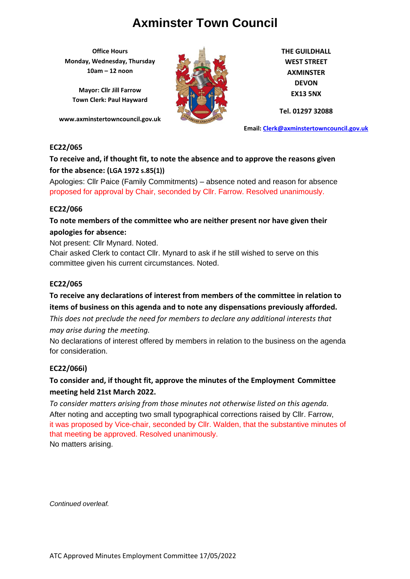**Office Hours Monday, Wednesday, Thursday 10am – 12 noon**

**Mayor: Cllr Jill Farrow Town Clerk: Paul Hayward**

**www.axminstertowncouncil.gov.uk**



**THE GUILDHALL WEST STREET AXMINSTER DEVON EX13 5NX**

**Tel. 01297 32088**

**Email: [Clerk@axminstertowncouncil.gov.uk](file://///axm-svr-1/company/Templates/Clerk@axminstertowncouncil.gov.uk)**

### **EC22/065**

## **To receive and, if thought fit, to note the absence and to approve the reasons given for the absence: (LGA 1972 s.85(1))**

proposed for approval by Chair, seconded by Cllr. Farrow. Resolved unanimously. Apologies: Cllr Paice (Family Commitments) – absence noted and reason for absence

### **EC22/066**

### **To note members of the committee who are neither present nor have given their apologies for absence:**

Not present: Cllr Mynard. Noted.

Chair asked Clerk to contact Cllr. Mynard to ask if he still wished to serve on this committee given his current circumstances. Noted.

### **EC22/065**

## **To receive any declarations of interest from members of the committee in relation to items of business on this agenda and to note any dispensations previously afforded.**

*This does not preclude the need for members to declare any additional interests that* 

*may arise during the meeting.*

No declarations of interest offered by members in relation to the business on the agenda for consideration.

### **EC22/066i)**

## **To consider and, if thought fit, approve the minutes of the Employment Committee meeting held 21st March 2022.**

*To consider matters arising from those minutes not otherwise listed on this agenda.* After noting and accepting two small typographical corrections raised by Cllr. Farrow, it was proposed by Vice-chair, seconded by Cllr. Walden, that the substantive minutes of that meeting be approved. Resolved unanimously. No matters arising.

*Continued overleaf.*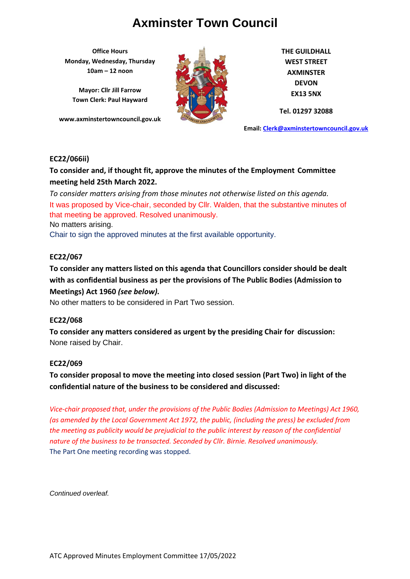**Office Hours Monday, Wednesday, Thursday 10am – 12 noon**

**Mayor: Cllr Jill Farrow Town Clerk: Paul Hayward**

**www.axminstertowncouncil.gov.uk**



**THE GUILDHALL WEST STREET AXMINSTER DEVON EX13 5NX**

**Tel. 01297 32088**

**Email: [Clerk@axminstertowncouncil.gov.uk](file://///axm-svr-1/company/Templates/Clerk@axminstertowncouncil.gov.uk)**

### **EC22/066ii)**

**To consider and, if thought fit, approve the minutes of the Employment Committee meeting held 25th March 2022.**

To consider matters arising from those minutes not otherwise listed on this agenda. It was proposed by Vice-chair, seconded by Cllr. Walden, that the substantive minutes of that meeting be approved. Resolved unanimously.

No matters arising.

Chair to sign the approved minutes at the first available opportunity.

### **EC22/067**

**To consider any matters listed on this agenda that Councillors consider should be dealt with as confidential business as per the provisions of The Public Bodies (Admission to Meetings) Act 1960** *(see below).*

No other matters to be considered in Part Two session.

### **EC22/068**

**To consider any matters considered as urgent by the presiding Chair for discussion:** None raised by Chair.

### **EC22/069**

## **To consider proposal to move the meeting into closed session (Part Two) in light of the confidential nature of the business to be considered and discussed:**

*Vice-chair proposed that, under the provisions of the Public Bodies (Admission to Meetings) Act 1960, (as amended by the Local Government Act 1972, the public, (including the press) be excluded from the meeting as publicity would be prejudicial to the public interest by reason of the confidential nature of the business to be transacted. Seconded by Cllr. Birnie. Resolved unanimously.* The Part One meeting recording was stopped.

*Continued overleaf.*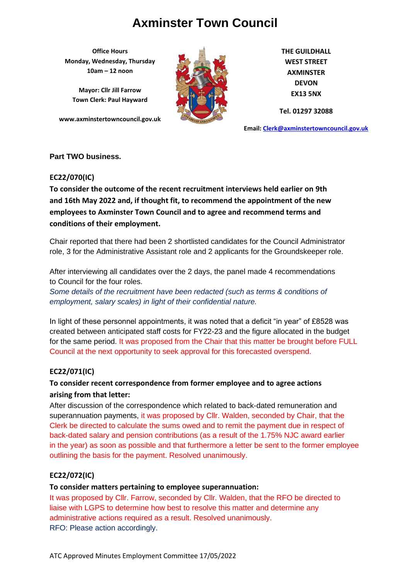**Office Hours Monday, Wednesday, Thursday 10am – 12 noon**

**Mayor: Cllr Jill Farrow Town Clerk: Paul Hayward**

**www.axminstertowncouncil.gov.uk**



**THE GUILDHALL WEST STREET AXMINSTER DEVON EX13 5NX**

**Tel. 01297 32088**

**Email: [Clerk@axminstertowncouncil.gov.uk](file://///axm-svr-1/company/Templates/Clerk@axminstertowncouncil.gov.uk)**

### **Part TWO business.**

### **EC22/070(IC)**

To consider the outcome of the recent recruitment interviews held earlier on 9th **and 16th May 2022 and, if thought fit, to recommend the appointment of the new employees to Axminster Town Council and to agree and recommend terms and conditions of their employment.**

Chair reported that there had been 2 shortlisted candidates for the Council Administrator role, 3 for the Administrative Assistant role and 2 applicants for the Groundskeeper role.

After interviewing all candidates over the 2 days, the panel made 4 recommendations to Council for the four roles.

*Some details of the recruitment have been redacted (such as terms & conditions of employment, salary scales) in light of their confidential nature.*

In light of these personnel appointments, it was noted that a deficit "in year" of £8528 was created between anticipated staff costs for FY22-23 and the figure allocated in the budget for the same period. It was proposed from the Chair that this matter be brought before FULL Council at the next opportunity to seek approval for this forecasted overspend.

### **EC22/071(IC)**

## **To consider recent correspondence from former employee and to agree actions arising from that letter:**

After discussion of the correspondence which related to back-dated remuneration and superannuation payments, it was proposed by Cllr. Walden, seconded by Chair, that the Clerk be directed to calculate the sums owed and to remit the payment due in respect of back-dated salary and pension contributions (as a result of the 1.75% NJC award earlier in the year) as soon as possible and that furthermore a letter be sent to the former employee outlining the basis for the payment. Resolved unanimously.

### **EC22/072(IC)**

### **To consider matters pertaining to employee superannuation:**

It was proposed by Cllr. Farrow, seconded by Cllr. Walden, that the RFO be directed to liaise with LGPS to determine how best to resolve this matter and determine any administrative actions required as a result. Resolved unanimously. RFO: Please action accordingly.